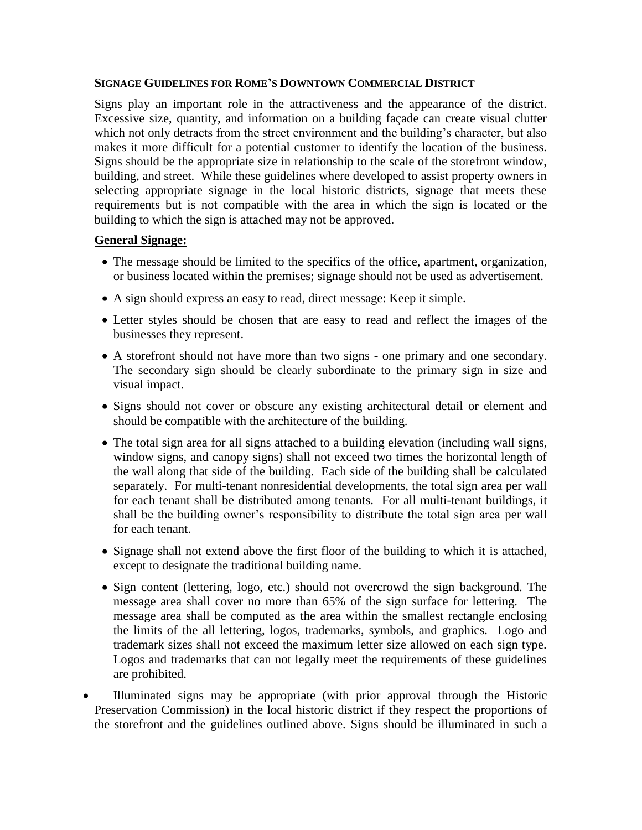### **SIGNAGE GUIDELINES FOR ROME'S DOWNTOWN COMMERCIAL DISTRICT**

Signs play an important role in the attractiveness and the appearance of the district. Excessive size, quantity, and information on a building façade can create visual clutter which not only detracts from the street environment and the building's character, but also makes it more difficult for a potential customer to identify the location of the business. Signs should be the appropriate size in relationship to the scale of the storefront window, building, and street. While these guidelines where developed to assist property owners in selecting appropriate signage in the local historic districts, signage that meets these requirements but is not compatible with the area in which the sign is located or the building to which the sign is attached may not be approved.

## **General Signage:**

- The message should be limited to the specifics of the office, apartment, organization, or business located within the premises; signage should not be used as advertisement.
- A sign should express an easy to read, direct message: Keep it simple.
- Letter styles should be chosen that are easy to read and reflect the images of the businesses they represent.
- A storefront should not have more than two signs one primary and one secondary. The secondary sign should be clearly subordinate to the primary sign in size and visual impact.
- Signs should not cover or obscure any existing architectural detail or element and should be compatible with the architecture of the building.
- The total sign area for all signs attached to a building elevation (including wall signs, window signs, and canopy signs) shall not exceed two times the horizontal length of the wall along that side of the building. Each side of the building shall be calculated separately. For multi-tenant nonresidential developments, the total sign area per wall for each tenant shall be distributed among tenants. For all multi-tenant buildings, it shall be the building owner's responsibility to distribute the total sign area per wall for each tenant.
- Signage shall not extend above the first floor of the building to which it is attached, except to designate the traditional building name.
- Sign content (lettering, logo, etc.) should not overcrowd the sign background. The message area shall cover no more than 65% of the sign surface for lettering. The message area shall be computed as the area within the smallest rectangle enclosing the limits of the all lettering, logos, trademarks, symbols, and graphics. Logo and trademark sizes shall not exceed the maximum letter size allowed on each sign type. Logos and trademarks that can not legally meet the requirements of these guidelines are prohibited.
- Illuminated signs may be appropriate (with prior approval through the Historic Preservation Commission) in the local historic district if they respect the proportions of the storefront and the guidelines outlined above. Signs should be illuminated in such a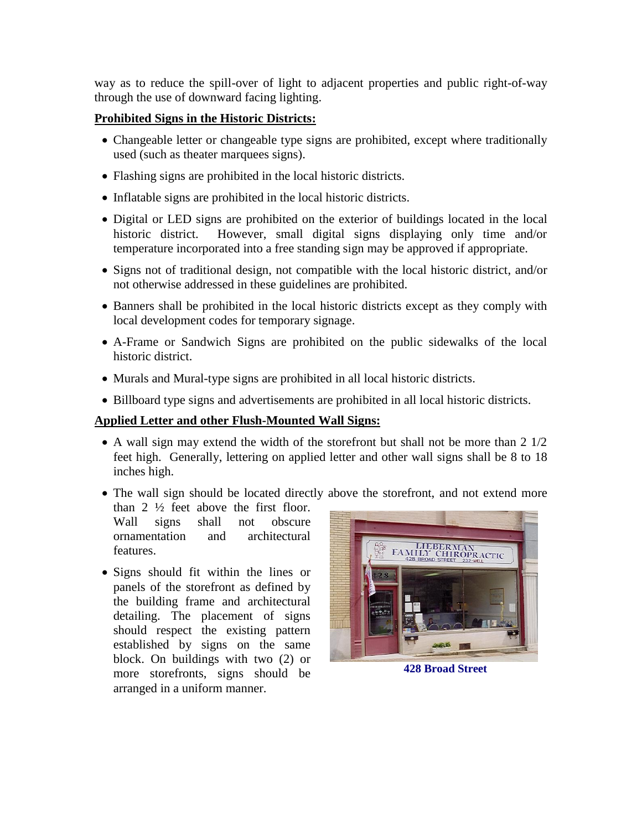way as to reduce the spill-over of light to adjacent properties and public right-of-way through the use of downward facing lighting.

## **Prohibited Signs in the Historic Districts:**

- Changeable letter or changeable type signs are prohibited, except where traditionally used (such as theater marquees signs).
- Flashing signs are prohibited in the local historic districts.
- Inflatable signs are prohibited in the local historic districts.
- Digital or LED signs are prohibited on the exterior of buildings located in the local historic district. However, small digital signs displaying only time and/or temperature incorporated into a free standing sign may be approved if appropriate.
- Signs not of traditional design, not compatible with the local historic district, and/or not otherwise addressed in these guidelines are prohibited.
- Banners shall be prohibited in the local historic districts except as they comply with local development codes for temporary signage.
- A-Frame or Sandwich Signs are prohibited on the public sidewalks of the local historic district.
- Murals and Mural-type signs are prohibited in all local historic districts.
- Billboard type signs and advertisements are prohibited in all local historic districts.

## **Applied Letter and other Flush-Mounted Wall Signs:**

- A wall sign may extend the width of the storefront but shall not be more than 2  $1/2$ feet high. Generally, lettering on applied letter and other wall signs shall be 8 to 18 inches high.
- The wall sign should be located directly above the storefront, and not extend more

than  $2 \frac{1}{2}$  feet above the first floor. Wall signs shall not obscure ornamentation and architectural features.

• Signs should fit within the lines or panels of the storefront as defined by the building frame and architectural detailing. The placement of signs should respect the existing pattern established by signs on the same block. On buildings with two (2) or more storefronts, signs should be arranged in a uniform manner.



**428 Broad Street**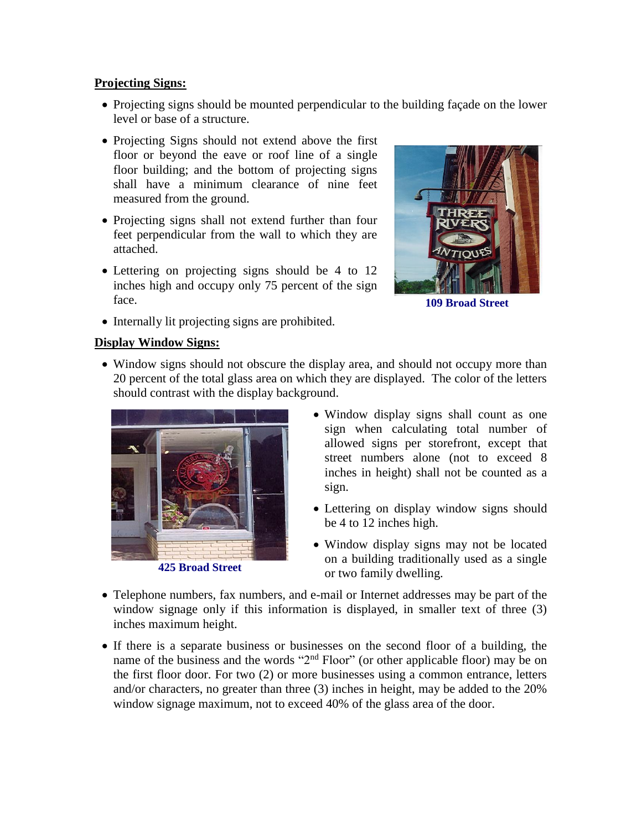## **Projecting Signs:**

- Projecting signs should be mounted perpendicular to the building façade on the lower level or base of a structure.
- Projecting Signs should not extend above the first floor or beyond the eave or roof line of a single floor building; and the bottom of projecting signs shall have a minimum clearance of nine feet measured from the ground.
- Projecting signs shall not extend further than four feet perpendicular from the wall to which they are attached.
- Lettering on projecting signs should be 4 to 12 inches high and occupy only 75 percent of the sign face.
- Internally lit projecting signs are prohibited.



**109 Broad Street**

## **Display Window Signs:**

• Window signs should not obscure the display area, and should not occupy more than 20 percent of the total glass area on which they are displayed. The color of the letters should contrast with the display background.



**425 Broad Street**

- Window display signs shall count as one sign when calculating total number of allowed signs per storefront, except that street numbers alone (not to exceed 8 inches in height) shall not be counted as a sign.
- Lettering on display window signs should be 4 to 12 inches high.
- Window display signs may not be located on a building traditionally used as a single or two family dwelling.
- Telephone numbers, fax numbers, and e-mail or Internet addresses may be part of the window signage only if this information is displayed, in smaller text of three (3) inches maximum height.
- If there is a separate business or businesses on the second floor of a building, the name of the business and the words "2<sup>nd</sup> Floor" (or other applicable floor) may be on the first floor door. For two (2) or more businesses using a common entrance, letters and/or characters, no greater than three (3) inches in height, may be added to the 20% window signage maximum, not to exceed 40% of the glass area of the door.